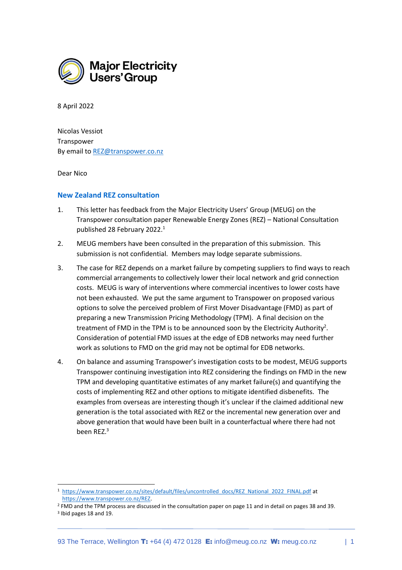

8 April 2022

Nicolas Vessiot Transpower By email t[o REZ@transpower.co.nz](mailto:REZ@transpower.co.nz)

Dear Nico

## **New Zealand REZ consultation**

- 1. This letter has feedback from the Major Electricity Users' Group (MEUG) on the Transpower consultation paper Renewable Energy Zones (REZ) – National Consultation published 28 February 2022.<sup>1</sup>
- 2. MEUG members have been consulted in the preparation of this submission. This submission is not confidential. Members may lodge separate submissions.
- 3. The case for REZ depends on a market failure by competing suppliers to find ways to reach commercial arrangements to collectively lower their local network and grid connection costs. MEUG is wary of interventions where commercial incentives to lower costs have not been exhausted. We put the same argument to Transpower on proposed various options to solve the perceived problem of First Mover Disadvantage (FMD) as part of preparing a new Transmission Pricing Methodology (TPM). A final decision on the treatment of FMD in the TPM is to be announced soon by the Electricity Authority<sup>2</sup>. Consideration of potential FMD issues at the edge of EDB networks may need further work as solutions to FMD on the grid may not be optimal for EDB networks.
- 4. On balance and assuming Transpower's investigation costs to be modest, MEUG supports Transpower continuing investigation into REZ considering the findings on FMD in the new TPM and developing quantitative estimates of any market failure(s) and quantifying the costs of implementing REZ and other options to mitigate identified disbenefits. The examples from overseas are interesting though it's unclear if the claimed additional new generation is the total associated with REZ or the incremental new generation over and above generation that would have been built in a counterfactual where there had not been REZ.<sup>3</sup>

<sup>1</sup> [https://www.transpower.co.nz/sites/default/files/uncontrolled\\_docs/REZ\\_National\\_2022\\_FINAL.pdf](https://www.transpower.co.nz/sites/default/files/uncontrolled_docs/REZ_National_2022_FINAL.pdf) at [https://www.transpower.co.nz/REZ.](https://www.transpower.co.nz/REZ)

<sup>2</sup> FMD and the TPM process are discussed in the consultation paper on page 11 and in detail on pages 38 and 39.

<sup>3</sup> Ibid pages 18 and 19.